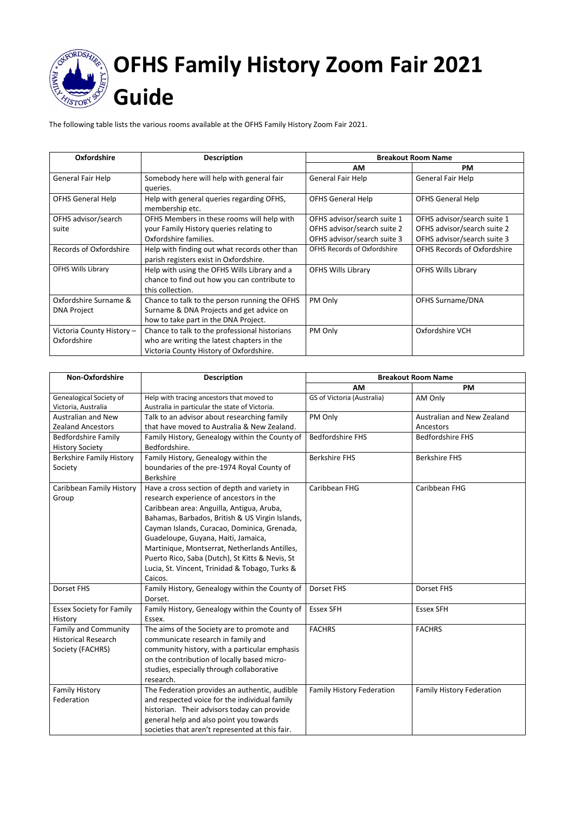

The following table lists the various rooms available at the OFHS Family History Zoom Fair 2021.

| <b>Oxfordshire</b>                          | <b>Description</b>                                                                                                                     | <b>Breakout Room Name</b>          |                                    |
|---------------------------------------------|----------------------------------------------------------------------------------------------------------------------------------------|------------------------------------|------------------------------------|
|                                             |                                                                                                                                        | AM                                 | <b>PM</b>                          |
| General Fair Help                           | Somebody here will help with general fair<br>queries.                                                                                  | General Fair Help                  | General Fair Help                  |
| <b>OFHS General Help</b>                    | Help with general queries regarding OFHS,<br>membership etc.                                                                           | <b>OFHS General Help</b>           | <b>OFHS General Help</b>           |
| OFHS advisor/search                         | OFHS Members in these rooms will help with                                                                                             | OFHS advisor/search suite 1        | OFHS advisor/search suite 1        |
| suite                                       | your Family History queries relating to                                                                                                | OFHS advisor/search suite 2        | OFHS advisor/search suite 2        |
|                                             | Oxfordshire families.                                                                                                                  | OFHS advisor/search suite 3        | OFHS advisor/search suite 3        |
| <b>Records of Oxfordshire</b>               | Help with finding out what records other than<br>parish registers exist in Oxfordshire.                                                | <b>OFHS Records of Oxfordshire</b> | <b>OFHS Records of Oxfordshire</b> |
| <b>OFHS Wills Library</b>                   | Help with using the OFHS Wills Library and a<br>chance to find out how you can contribute to<br>this collection.                       | <b>OFHS Wills Library</b>          | <b>OFHS Wills Library</b>          |
| Oxfordshire Surname &<br><b>DNA Project</b> | Chance to talk to the person running the OFHS<br>Surname & DNA Projects and get advice on<br>how to take part in the DNA Project.      | PM Only                            | <b>OFHS Surname/DNA</b>            |
| Victoria County History -<br>Oxfordshire    | Chance to talk to the professional historians<br>who are writing the latest chapters in the<br>Victoria County History of Oxfordshire. | PM Only                            | Oxfordshire VCH                    |

| Non-Oxfordshire                 | <b>Description</b>                              | <b>Breakout Room Name</b>        |                                  |
|---------------------------------|-------------------------------------------------|----------------------------------|----------------------------------|
|                                 |                                                 | <b>AM</b>                        | <b>PM</b>                        |
| Genealogical Society of         | Help with tracing ancestors that moved to       | GS of Victoria (Australia)       | AM Only                          |
| Victoria, Australia             | Australia in particular the state of Victoria.  |                                  |                                  |
| <b>Australian and New</b>       | Talk to an advisor about researching family     | PM Only                          | Australian and New Zealand       |
| <b>Zealand Ancestors</b>        | that have moved to Australia & New Zealand.     |                                  | Ancestors                        |
| <b>Bedfordshire Family</b>      | Family History, Genealogy within the County of  | <b>Bedfordshire FHS</b>          | <b>Bedfordshire FHS</b>          |
| <b>History Society</b>          | Bedfordshire.                                   |                                  |                                  |
| <b>Berkshire Family History</b> | Family History, Genealogy within the            | <b>Berkshire FHS</b>             | <b>Berkshire FHS</b>             |
| Society                         | boundaries of the pre-1974 Royal County of      |                                  |                                  |
|                                 | <b>Berkshire</b>                                |                                  |                                  |
| Caribbean Family History        | Have a cross section of depth and variety in    | Caribbean FHG                    | Caribbean FHG                    |
| Group                           | research experience of ancestors in the         |                                  |                                  |
|                                 | Caribbean area: Anguilla, Antigua, Aruba,       |                                  |                                  |
|                                 | Bahamas, Barbados, British & US Virgin Islands, |                                  |                                  |
|                                 | Cayman Islands, Curacao, Dominica, Grenada,     |                                  |                                  |
|                                 | Guadeloupe, Guyana, Haiti, Jamaica,             |                                  |                                  |
|                                 | Martinique, Montserrat, Netherlands Antilles,   |                                  |                                  |
|                                 | Puerto Rico, Saba (Dutch), St Kitts & Nevis, St |                                  |                                  |
|                                 | Lucia, St. Vincent, Trinidad & Tobago, Turks &  |                                  |                                  |
|                                 | Caicos.                                         |                                  |                                  |
| <b>Dorset FHS</b>               | Family History, Genealogy within the County of  | Dorset FHS                       | <b>Dorset FHS</b>                |
|                                 | Dorset.                                         |                                  |                                  |
| <b>Essex Society for Family</b> | Family History, Genealogy within the County of  | <b>Essex SFH</b>                 | <b>Essex SFH</b>                 |
| History                         | Essex.                                          |                                  |                                  |
| <b>Family and Community</b>     | The aims of the Society are to promote and      | <b>FACHRS</b>                    | <b>FACHRS</b>                    |
| <b>Historical Research</b>      | communicate research in family and              |                                  |                                  |
| Society (FACHRS)                | community history, with a particular emphasis   |                                  |                                  |
|                                 | on the contribution of locally based micro-     |                                  |                                  |
|                                 | studies, especially through collaborative       |                                  |                                  |
|                                 | research.                                       |                                  |                                  |
| <b>Family History</b>           | The Federation provides an authentic, audible   | <b>Family History Federation</b> | <b>Family History Federation</b> |
| Federation                      | and respected voice for the individual family   |                                  |                                  |
|                                 | historian. Their advisors today can provide     |                                  |                                  |
|                                 | general help and also point you towards         |                                  |                                  |
|                                 | societies that aren't represented at this fair. |                                  |                                  |